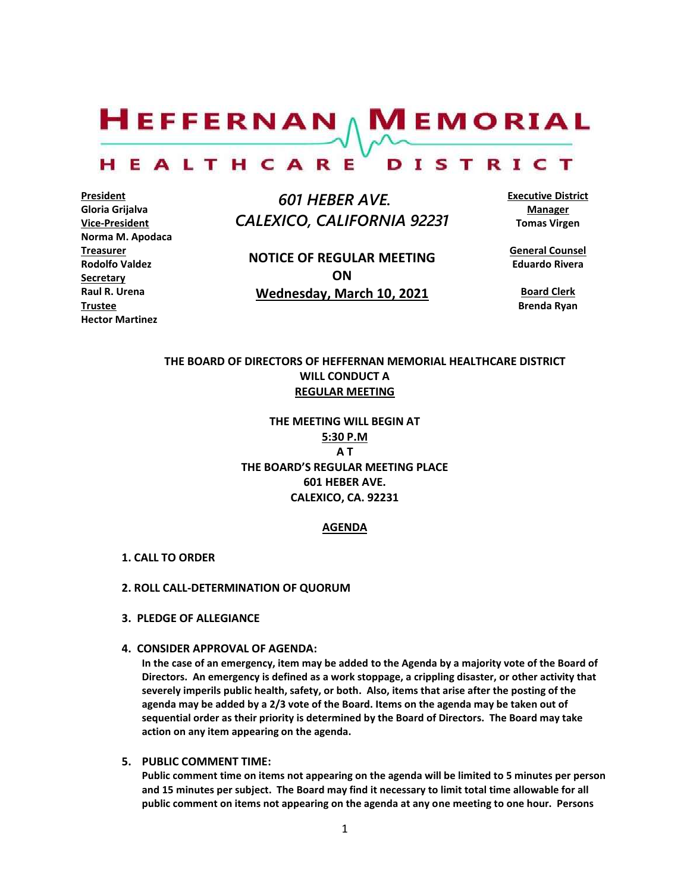$H$ EFFERNAN  $\wedge$  M EMORIAL

#### HEALTHCARE DISTRICT

**President Gloria Grijalva Vice-President Norma M. Apodaca Treasurer Rodolfo Valdez Secretary Raul R. Urena Trustee Hector Martinez**

 *601 HEBER AVE. CALEXICO, CALIFORNIA 92231*

**NOTICE OF REGULAR MEETING ON Wednesday, March 10, 2021**

**Executive District Manager Tomas Virgen**

**General Counsel Eduardo Rivera**

**Board Clerk Brenda Ryan**

# **THE BOARD OF DIRECTORS OF HEFFERNAN MEMORIAL HEALTHCARE DISTRICT WILL CONDUCT A REGULAR MEETING**

**THE MEETING WILL BEGIN AT 5:30 P.M A T THE BOARD'S REGULAR MEETING PLACE 601 HEBER AVE. CALEXICO, CA. 92231**

## **AGENDA**

- **1. CALL TO ORDER**
- **2. ROLL CALL-DETERMINATION OF QUORUM**
- **3. PLEDGE OF ALLEGIANCE**
- **4. CONSIDER APPROVAL OF AGENDA:**

**In the case of an emergency, item may be added to the Agenda by a majority vote of the Board of Directors. An emergency is defined as a work stoppage, a crippling disaster, or other activity that severely imperils public health, safety, or both. Also, items that arise after the posting of the agenda may be added by a 2/3 vote of the Board. Items on the agenda may be taken out of sequential order as their priority is determined by the Board of Directors. The Board may take action on any item appearing on the agenda.**

**5. PUBLIC COMMENT TIME:**

**Public comment time on items not appearing on the agenda will be limited to 5 minutes per person and 15 minutes per subject. The Board may find it necessary to limit total time allowable for all public comment on items not appearing on the agenda at any one meeting to one hour. Persons**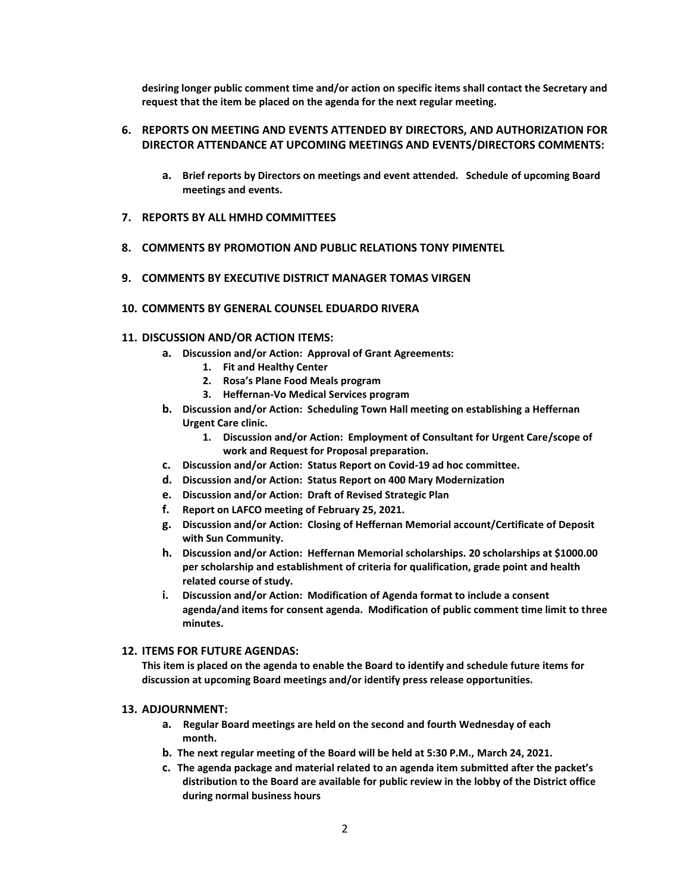**desiring longer public comment time and/or action on specific items shall contact the Secretary and request that the item be placed on the agenda for the next regular meeting.**

# **6. REPORTS ON MEETING AND EVENTS ATTENDED BY DIRECTORS, AND AUTHORIZATION FOR DIRECTOR ATTENDANCE AT UPCOMING MEETINGS AND EVENTS/DIRECTORS COMMENTS:**

- **a. Brief reports by Directors on meetings and event attended. Schedule of upcoming Board meetings and events.**
- **7. REPORTS BY ALL HMHD COMMITTEES**
- **8. COMMENTS BY PROMOTION AND PUBLIC RELATIONS TONY PIMENTEL**
- **9. COMMENTS BY EXECUTIVE DISTRICT MANAGER TOMAS VIRGEN**
- **10. COMMENTS BY GENERAL COUNSEL EDUARDO RIVERA**

#### **11. DISCUSSION AND/OR ACTION ITEMS:**

- **a. Discussion and/or Action: Approval of Grant Agreements:**
	- **1. Fit and Healthy Center**
	- **2. Rosa's Plane Food Meals program**
	- **3. Heffernan-Vo Medical Services program**
- **b. Discussion and/or Action: Scheduling Town Hall meeting on establishing a Heffernan Urgent Care clinic.**
	- **1. Discussion and/or Action: Employment of Consultant for Urgent Care/scope of work and Request for Proposal preparation.**
- **c. Discussion and/or Action: Status Report on Covid-19 ad hoc committee.**
- **d. Discussion and/or Action: Status Report on 400 Mary Modernization**
- **e. Discussion and/or Action: Draft of Revised Strategic Plan**
- **f. Report on LAFCO meeting of February 25, 2021.**
- **g. Discussion and/or Action: Closing of Heffernan Memorial account/Certificate of Deposit with Sun Community.**
- **h. Discussion and/or Action: Heffernan Memorial scholarships. 20 scholarships at \$1000.00 per scholarship and establishment of criteria for qualification, grade point and health related course of study.**
- **i. Discussion and/or Action: Modification of Agenda format to include a consent agenda/and items for consent agenda. Modification of public comment time limit to three minutes.**

### **12. ITEMS FOR FUTURE AGENDAS:**

**This item is placed on the agenda to enable the Board to identify and schedule future items for discussion at upcoming Board meetings and/or identify press release opportunities.**

#### **13. ADJOURNMENT:**

- **a. Regular Board meetings are held on the second and fourth Wednesday of each month.**
- **b. The next regular meeting of the Board will be held at 5:30 P.M., March 24, 2021.**
- **c. The agenda package and material related to an agenda item submitted after the packet's distribution to the Board are available for public review in the lobby of the District office during normal business hours**